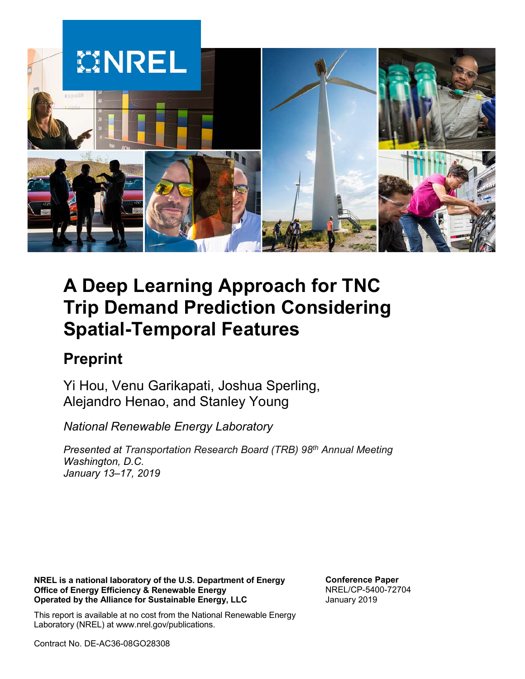

## **A Deep Learning Approach for TNC Trip Demand Prediction Considering Spatial-Temporal Features**

#### **Preprint**

Yi Hou, Venu Garikapati, Joshua Sperling, Alejandro Henao, and Stanley Young

*National Renewable Energy Laboratory*

*Presented at Transportation Research Board (TRB) 98th Annual Meeting Washington, D.C. January 13–17, 2019*

**NREL is a national laboratory of the U.S. Department of Energy Office of Energy Efficiency & Renewable Energy Operated by the Alliance for Sustainable Energy, LLC**

**Conference Paper** NREL/CP-5400-72704 January 2019

This report is available at no cost from the National Renewable Energy Laboratory (NREL) at www.nrel.gov/publications.

Contract No. DE-AC36-08GO28308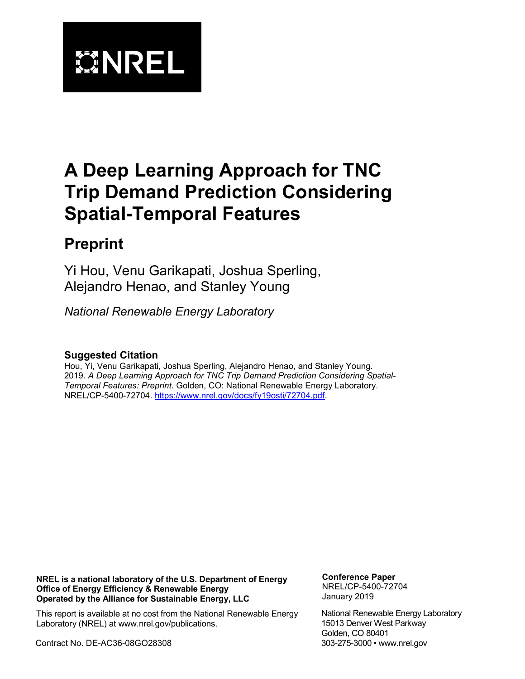

# **A Deep Learning Approach for TNC Trip Demand Prediction Considering Spatial-Temporal Features**

## **Preprint**

Yi Hou, Venu Garikapati, Joshua Sperling, Alejandro Henao, and Stanley Young

*National Renewable Energy Laboratory*

#### **Suggested Citation**

Hou, Yi, Venu Garikapati, Joshua Sperling, Alejandro Henao, and Stanley Young. 2019. *A Deep Learning Approach for TNC Trip Demand Prediction Considering Spatial-Temporal Features: Preprint*. Golden, CO: National Renewable Energy Laboratory. NREL/CP-5400-72704. [https://www.nrel.gov/docs/fy19osti/72704.pdf.](https://www.nrel.gov/docs/fy19osti/72704.pdf)

**NREL is a national laboratory of the U.S. Department of Energy Office of Energy Efficiency & Renewable Energy Operated by the Alliance for Sustainable Energy, LLC**

**Conference Paper** NREL/CP-5400-72704 January 2019

This report is available at no cost from the National Renewable Energy Laboratory (NREL) at www.nrel.gov/publications.

Contract No. DE-AC36-08GO28308

National Renewable Energy Laboratory 15013 Denver West Parkway Golden, CO 80401 303-275-3000 • www.nrel.gov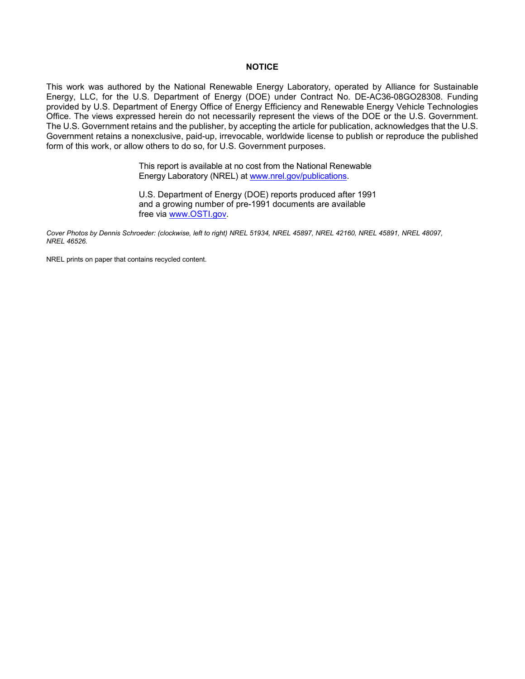#### **NOTICE**

This work was authored by the National Renewable Energy Laboratory, operated by Alliance for Sustainable Energy, LLC, for the U.S. Department of Energy (DOE) under Contract No. DE-AC36-08GO28308. Funding provided by U.S. Department of Energy Office of Energy Efficiency and Renewable Energy Vehicle Technologies Office. The views expressed herein do not necessarily represent the views of the DOE or the U.S. Government. The U.S. Government retains and the publisher, by accepting the article for publication, acknowledges that the U.S. Government retains a nonexclusive, paid-up, irrevocable, worldwide license to publish or reproduce the published form of this work, or allow others to do so, for U.S. Government purposes.

> This report is available at no cost from the National Renewable Energy Laboratory (NREL) at [www.nrel.gov/publications.](http://www.nrel.gov/publications)

U.S. Department of Energy (DOE) reports produced after 1991 and a growing number of pre-1991 documents are available free via [www.OSTI.gov.](http://www.osti.gov/)

*Cover Photos by Dennis Schroeder: (clockwise, left to right) NREL 51934, NREL 45897, NREL 42160, NREL 45891, NREL 48097, NREL 46526.*

NREL prints on paper that contains recycled content.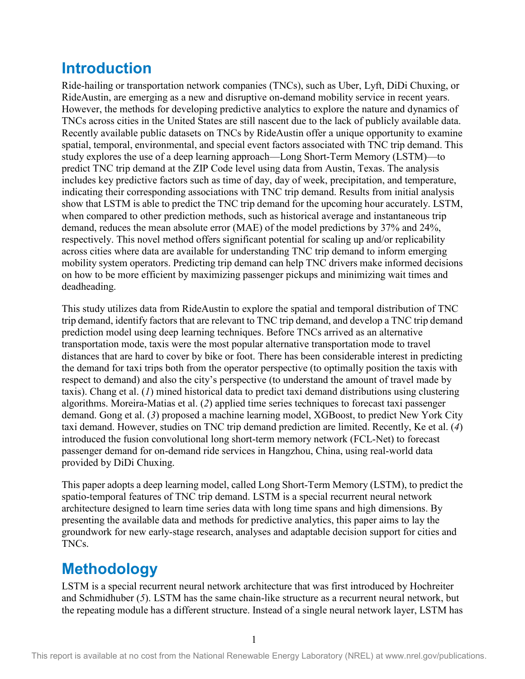#### **Introduction**

Ride-hailing or transportation network companies (TNCs), such as Uber, Lyft, DiDi Chuxing, or RideAustin, are emerging as a new and disruptive on-demand mobility service in recent years. However, the methods for developing predictive analytics to explore the nature and dynamics of TNCs across cities in the United States are still nascent due to the lack of publicly available data. Recently available public datasets on TNCs by RideAustin offer a unique opportunity to examine spatial, temporal, environmental, and special event factors associated with TNC trip demand. This study explores the use of a deep learning approach—Long Short-Term Memory (LSTM)—to predict TNC trip demand at the ZIP Code level using data from Austin, Texas. The analysis includes key predictive factors such as time of day, day of week, precipitation, and temperature, indicating their corresponding associations with TNC trip demand. Results from initial analysis show that LSTM is able to predict the TNC trip demand for the upcoming hour accurately. LSTM, when compared to other prediction methods, such as historical average and instantaneous trip demand, reduces the mean absolute error (MAE) of the model predictions by 37% and 24%, respectively. This novel method offers significant potential for scaling up and/or replicability across cities where data are available for understanding TNC trip demand to inform emerging mobility system operators. Predicting trip demand can help TNC drivers make informed decisions on how to be more efficient by maximizing passenger pickups and minimizing wait times and deadheading.

This study utilizes data from RideAustin to explore the spatial and temporal distribution of TNC trip demand, identify factors that are relevant to TNC trip demand, and develop a TNC trip demand prediction model using deep learning techniques. Before TNCs arrived as an alternative transportation mode, taxis were the most popular alternative transportation mode to travel distances that are hard to cover by bike or foot. There has been considerable interest in predicting the demand for taxi trips both from the operator perspective (to optimally position the taxis with respect to demand) and also the city's perspective (to understand the amount of travel made by taxis). Chang et al. (*1*) mined historical data to predict taxi demand distributions using clustering algorithms. Moreira-Matias et al. (*2*) applied time series techniques to forecast taxi passenger demand. Gong et al. (*3*) proposed a machine learning model, XGBoost, to predict New York City taxi demand. However, studies on TNC trip demand prediction are limited. Recently, Ke et al. (*4*) introduced the fusion convolutional long short-term memory network (FCL-Net) to forecast passenger demand for on-demand ride services in Hangzhou, China, using real-world data provided by DiDi Chuxing.

This paper adopts a deep learning model, called Long Short-Term Memory (LSTM), to predict the spatio-temporal features of TNC trip demand. LSTM is a special recurrent neural network architecture designed to learn time series data with long time spans and high dimensions. By presenting the available data and methods for predictive analytics, this paper aims to lay the groundwork for new early-stage research, analyses and adaptable decision support for cities and TNCs.

## **Methodology**

LSTM is a special recurrent neural network architecture that was first introduced by Hochreiter and Schmidhuber (*5*). LSTM has the same chain-like structure as a recurrent neural network, but the repeating module has a different structure. Instead of a single neural network layer, LSTM has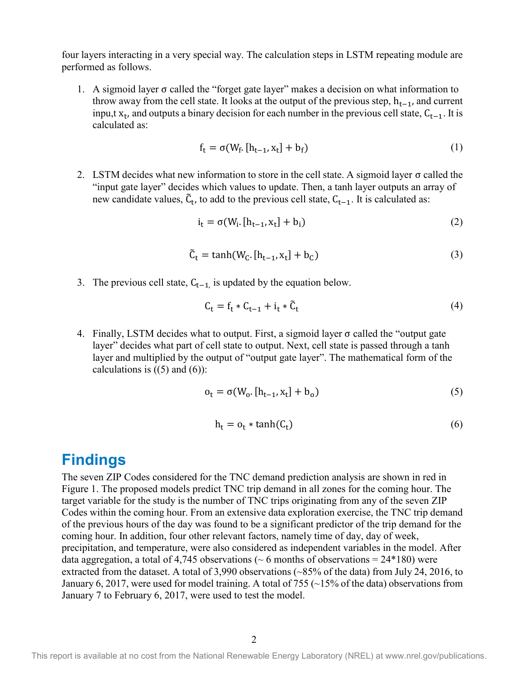four layers interacting in a very special way. The calculation steps in LSTM repeating module are performed as follows.

1. A sigmoid layer σ called the "forget gate layer" makes a decision on what information to throw away from the cell state. It looks at the output of the previous step,  $h_{t-1}$ , and current inpu,t  $x_t$ , and outputs a binary decision for each number in the previous cell state,  $C_{t-1}$ . It is calculated as:

$$
f_t = \sigma(W_f, [h_{t-1}, x_t] + b_f)
$$
 (1)

2. LSTM decides what new information to store in the cell state. A sigmoid layer  $\sigma$  called the "input gate layer" decides which values to update. Then, a tanh layer outputs an array of new candidate values,  $\tilde{C}_t$ , to add to the previous cell state,  $C_{t-1}$ . It is calculated as:

$$
i_{t} = \sigma(W_{i}. [h_{t-1}, x_{t}] + b_{i})
$$
\n(2)

$$
\tilde{C}_t = \tanh(W_C, [h_{t-1}, x_t] + b_C)
$$
\n(3)

3. The previous cell state,  $C_{t-1}$  is updated by the equation below.

$$
C_t = f_t * C_{t-1} + i_t * \tilde{C}_t \tag{4}
$$

4. Finally, LSTM decides what to output. First, a sigmoid layer  $\sigma$  called the "output gate layer" decides what part of cell state to output. Next, cell state is passed through a tanh layer and multiplied by the output of "output gate layer". The mathematical form of the calculations is  $((5)$  and  $(6)$ :

$$
o_t = \sigma(W_0, [h_{t-1}, x_t] + b_0)
$$
\n(5)

$$
h_t = o_t * \tanh(C_t) \tag{6}
$$

#### **Findings**

The seven ZIP Codes considered for the TNC demand prediction analysis are shown in red in Figure 1. The proposed models predict TNC trip demand in all zones for the coming hour. The target variable for the study is the number of TNC trips originating from any of the seven ZIP Codes within the coming hour. From an extensive data exploration exercise, the TNC trip demand of the previous hours of the day was found to be a significant predictor of the trip demand for the coming hour. In addition, four other relevant factors, namely time of day, day of week, precipitation, and temperature, were also considered as independent variables in the model. After data aggregation, a total of 4,745 observations ( $\sim$  6 months of observations = 24\*180) were extracted from the dataset. A total of 3,990 observations (~85% of the data) from July 24, 2016, to January 6, 2017, were used for model training. A total of 755 ( $\sim$ 15% of the data) observations from January 7 to February 6, 2017, were used to test the model.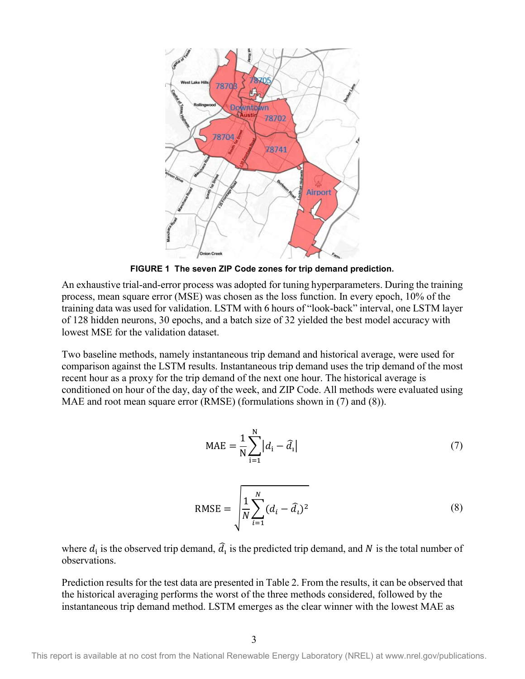

**FIGURE 1 The seven ZIP Code zones for trip demand prediction.**

An exhaustive trial-and-error process was adopted for tuning hyperparameters. During the training process, mean square error (MSE) was chosen as the loss function. In every epoch, 10% of the training data was used for validation. LSTM with 6 hours of "look-back" interval, one LSTM layer of 128 hidden neurons, 30 epochs, and a batch size of 32 yielded the best model accuracy with lowest MSE for the validation dataset.

Two baseline methods, namely instantaneous trip demand and historical average, were used for comparison against the LSTM results. Instantaneous trip demand uses the trip demand of the most recent hour as a proxy for the trip demand of the next one hour. The historical average is conditioned on hour of the day, day of the week, and ZIP Code. All methods were evaluated using MAE and root mean square error (RMSE) (formulations shown in (7) and (8)).

$$
MAE = \frac{1}{N} \sum_{i=1}^{N} |d_i - \widehat{d}_i|
$$
 (7)

RMSE = 
$$
\sqrt{\frac{1}{N} \sum_{i=1}^{N} (d_i - \hat{d}_i)^2}
$$
 (8)

where  $d_i$  is the observed trip demand,  $\hat{d}_i$  is the predicted trip demand, and N is the total number of observations.

Prediction results for the test data are presented in Table 2. From the results, it can be observed that the historical averaging performs the worst of the three methods considered, followed by the instantaneous trip demand method. LSTM emerges as the clear winner with the lowest MAE as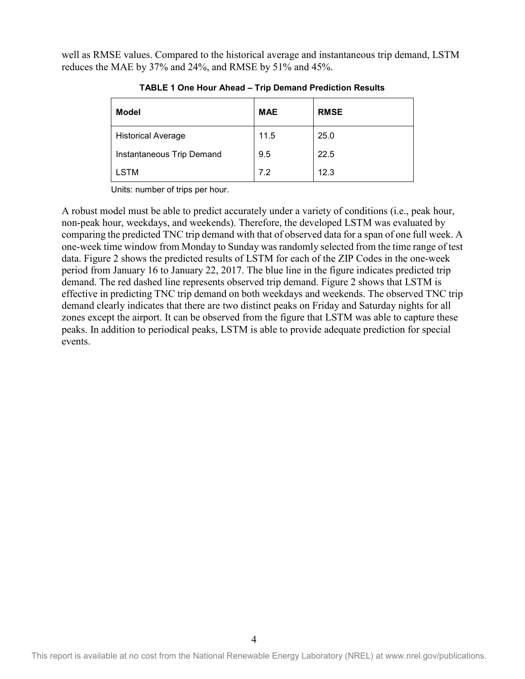well as RMSE values. Compared to the historical average and instantaneous trip demand, LSTM reduces the MAE by 37% and 24%, and RMSE by 51% and 45%.

| <b>Model</b>              | <b>MAE</b> | <b>RMSE</b> |
|---------------------------|------------|-------------|
| <b>Historical Average</b> | 11.5       | 25.0        |
| Instantaneous Trip Demand | 9.5        | 22.5        |
| <b>LSTM</b>               | 7.2        | 12.3        |

**TABLE 1 One Hour Ahead – Trip Demand Prediction Results**

Units: number of trips per hour.

A robust model must be able to predict accurately under a variety of conditions (i.e., peak hour, non-peak hour, weekdays, and weekends). Therefore, the developed LSTM was evaluated by comparing the predicted TNC trip demand with that of observed data for a span of one full week. A one-week time window from Monday to Sunday was randomly selected from the time range of test data. Figure 2 shows the predicted results of LSTM for each of the ZIP Codes in the one-week period from January 16 to January 22, 2017. The blue line in the figure indicates predicted trip demand. The red dashed line represents observed trip demand. Figure 2 shows that LSTM is effective in predicting TNC trip demand on both weekdays and weekends. The observed TNC trip demand clearly indicates that there are two distinct peaks on Friday and Saturday nights for all zones except the airport. It can be observed from the figure that LSTM was able to capture these peaks. In addition to periodical peaks, LSTM is able to provide adequate prediction for special events.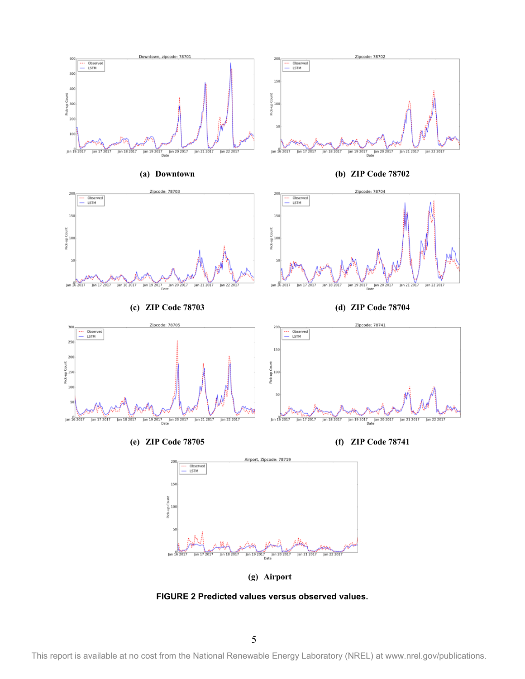



ž





0 2017

jan 21 2017

 $rac{1}{2017}$ 

 $lan 18$ 

 $lan<sub>17</sub>$ 

Zipcode: 78741

Zipcode: 78702

Zipcode: 78704



**(g) Airport**

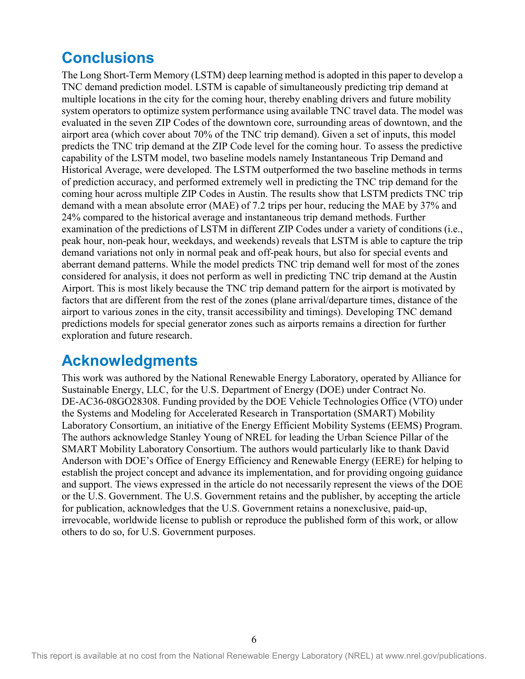## **Conclusions**

The Long Short-Term Memory (LSTM) deep learning method is adopted in this paper to develop a TNC demand prediction model. LSTM is capable of simultaneously predicting trip demand at multiple locations in the city for the coming hour, thereby enabling drivers and future mobility system operators to optimize system performance using available TNC travel data. The model was evaluated in the seven ZIP Codes of the downtown core, surrounding areas of downtown, and the airport area (which cover about 70% of the TNC trip demand). Given a set of inputs, this model predicts the TNC trip demand at the ZIP Code level for the coming hour. To assess the predictive capability of the LSTM model, two baseline models namely Instantaneous Trip Demand and Historical Average, were developed. The LSTM outperformed the two baseline methods in terms of prediction accuracy, and performed extremely well in predicting the TNC trip demand for the coming hour across multiple ZIP Codes in Austin. The results show that LSTM predicts TNC trip demand with a mean absolute error (MAE) of 7.2 trips per hour, reducing the MAE by 37% and 24% compared to the historical average and instantaneous trip demand methods. Further examination of the predictions of LSTM in different ZIP Codes under a variety of conditions (i.e., peak hour, non-peak hour, weekdays, and weekends) reveals that LSTM is able to capture the trip demand variations not only in normal peak and off-peak hours, but also for special events and aberrant demand patterns. While the model predicts TNC trip demand well for most of the zones considered for analysis, it does not perform as well in predicting TNC trip demand at the Austin Airport. This is most likely because the TNC trip demand pattern for the airport is motivated by factors that are different from the rest of the zones (plane arrival/departure times, distance of the airport to various zones in the city, transit accessibility and timings). Developing TNC demand predictions models for special generator zones such as airports remains a direction for further exploration and future research.

#### **Acknowledgments**

This work was authored by the National Renewable Energy Laboratory, operated by Alliance for Sustainable Energy, LLC, for the U.S. Department of Energy (DOE) under Contract No. DE-AC36-08GO28308. Funding provided by the DOE Vehicle Technologies Office (VTO) under the Systems and Modeling for Accelerated Research in Transportation (SMART) Mobility Laboratory Consortium, an initiative of the Energy Efficient Mobility Systems (EEMS) Program. The authors acknowledge Stanley Young of NREL for leading the Urban Science Pillar of the SMART Mobility Laboratory Consortium. The authors would particularly like to thank David Anderson with DOE's Office of Energy Efficiency and Renewable Energy (EERE) for helping to establish the project concept and advance its implementation, and for providing ongoing guidance and support. The views expressed in the article do not necessarily represent the views of the DOE or the U.S. Government. The U.S. Government retains and the publisher, by accepting the article for publication, acknowledges that the U.S. Government retains a nonexclusive, paid-up, irrevocable, worldwide license to publish or reproduce the published form of this work, or allow others to do so, for U.S. Government purposes.